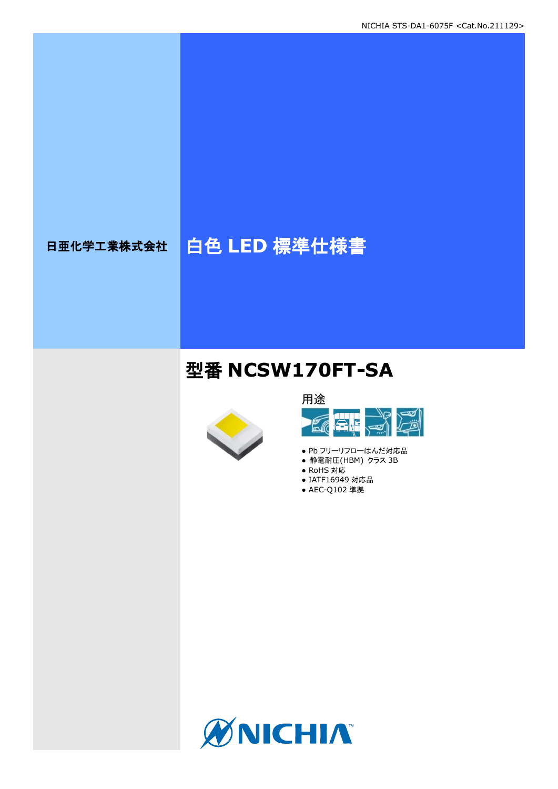# 日亜化学工業株式会社 | 白色 LED 標準仕様書

## 型番 **NCSW170FT-SA**





- Pb フリーリフローはんだ対応品
- 静電耐圧(HBM) クラス 3B
- RoHS 対応
- IATF16949 対応品 ● AEC-Q102 準拠

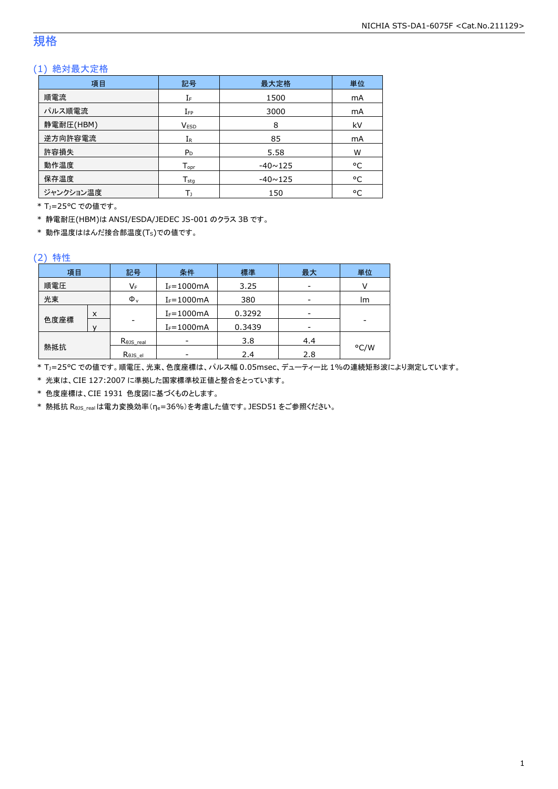### 規格

### (1) 絶対最大定格

| 項目        | 記号                 | 最大定格           | 単位 |
|-----------|--------------------|----------------|----|
| 順電流       | IF                 | 1500           | mA |
| パルス順電流    | $I_{FP}$           | 3000           | mA |
| 静電耐圧(HBM) | <b>VESD</b>        | 8              | kV |
| 逆方向許容電流   | $I_{R}$            | 85             | mA |
| 許容損失      | $P_D$              | 5.58           | W  |
| 動作温度      | $T_{\mathsf{opr}}$ | $-40 \sim 125$ | °C |
| 保存温度      | $T_{sta}$          | $-40 \sim 125$ | °C |
| ジャンクション温度 | Tı                 | 150            | °C |

\* TJ=25°C での値です。

\* 静電耐圧(HBM)は ANSI/ESDA/JEDEC JS-001 のクラス 3B です。

\* 動作温度ははんだ接合部温度(TS)での値です。

#### (2) 特性

| 項目   |   | 記号                   | 条件<br>標準<br>最大 |        | 単位  |      |
|------|---|----------------------|----------------|--------|-----|------|
| 順電圧  |   | VF                   | $I_F = 1000mA$ | 3.25   |     |      |
| 光束   |   | $\Phi_{\rm v}$       | $I_F = 1000mA$ | 380    |     | lm   |
|      | X |                      | $I_F = 1000mA$ | 0.3292 |     |      |
| 色度座標 |   | -                    | $I_F = 1000mA$ | 0.3439 |     |      |
|      |   | $R_{\theta}$ JS_real |                | 3.8    | 4.4 |      |
| 熱抵抗  |   | Rejs el              |                | 2.4    | 2.8 | °C/W |

\* TJ=25°C での値です。順電圧、光束、色度座標は、パルス幅 0.05msec、デューティー比 1%の連続矩形波により測定しています。

\* 光束は、CIE 127:2007 に準拠した国家標準校正値と整合をとっています。

\* 色度座標は、CIE 1931 色度図に基づくものとします。

\* 熱抵抗 RθJS\_realは電力変換効率(ηe=36%)を考慮した値です。JESD51 をご参照ください。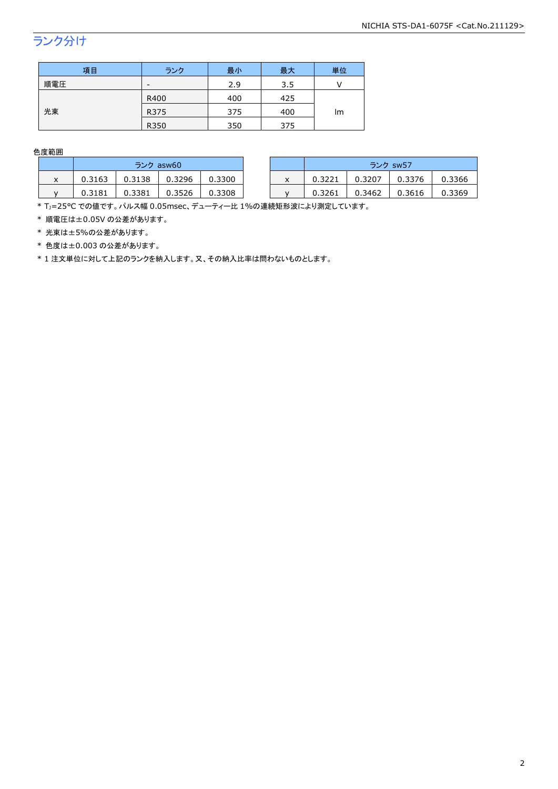## ランク分け

| 項目  | ランク  | 最小  | 最大  | 単位 |  |
|-----|------|-----|-----|----|--|
| 順電圧 | -    | 2.9 | 3.5 |    |  |
|     | R400 | 400 | 425 |    |  |
| 光束  | R375 | 375 | 400 | lm |  |
|     | R350 | 350 | 375 |    |  |

色度範囲

|   | ランク asw60 |        |        |        |   | ランク sw57 |        |        |        |
|---|-----------|--------|--------|--------|---|----------|--------|--------|--------|
| ⋏ | 0.3163    | 0.3138 | 0.3296 | 0.3300 | x | 0.3221   | 0.3207 | 0.3376 | 0.3366 |
|   | 0.3181    | 0.3381 | .3526  | 0.3308 |   | 0.3261   | 0.3462 | 0.3616 | 0.3369 |

\* Tj=25°C での値です。パルス幅 0.05msec、デューティー比 1%の連続矩形波により測定しています。

\* 順電圧は±0.05V の公差があります。

\* 光束は±5%の公差があります。

\* 色度は±0.003 の公差があります。

\* 1 注文単位に対して上記のランクを納入します。又、その納入比率は問わないものとします。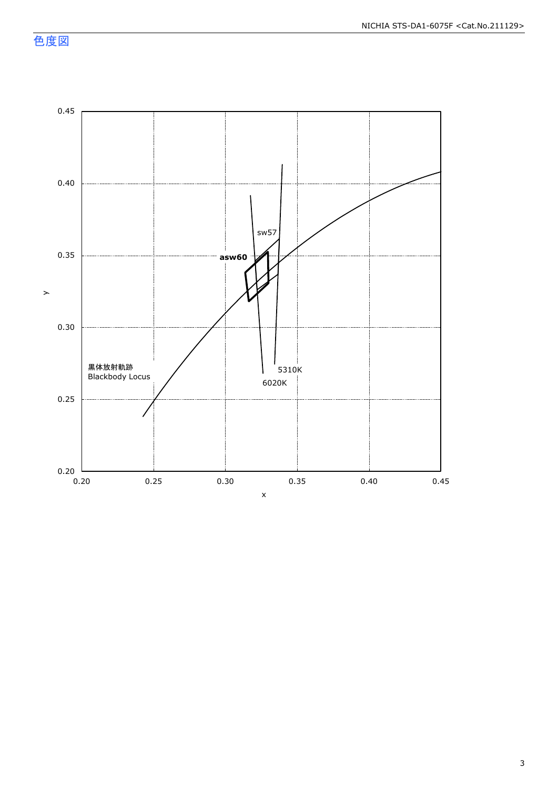色度図

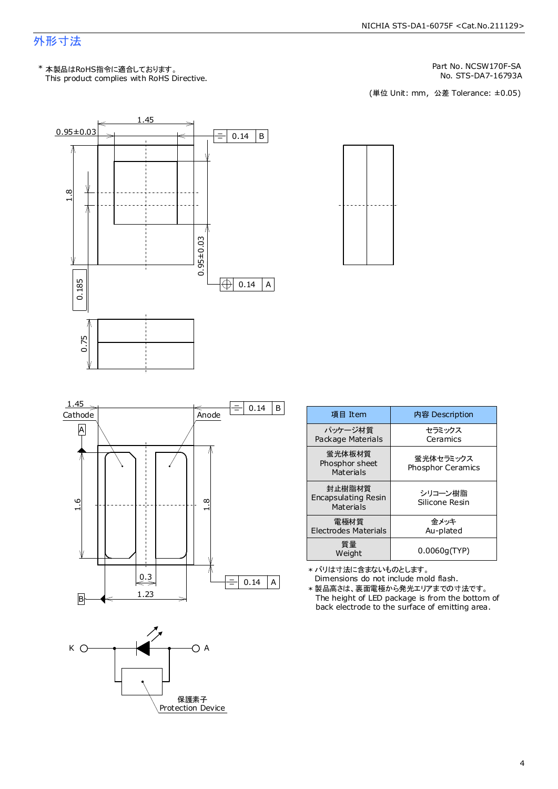### 外形寸法

Part No. NCSW170F-SA

No. STS-DA7-16793A<br>(単位 Unit: mm,公差 Tolerance: ±0.05)









| 項目 Item                                    | 内容 Description                        |
|--------------------------------------------|---------------------------------------|
| パッケージ材質<br>Package Materials               | セラミックス<br>Ceramics                    |
| 蛍光体板材質<br>Phosphor sheet<br>Materials      | 蛍光体セラミックス<br><b>Phosphor Ceramics</b> |
| 封止樹脂材質<br>Encapsulating Resin<br>Materials | シリコーン樹脂<br>Silicone Resin             |
| 電極材質<br><b>Electrodes Materials</b>        | 余メッキ<br>Au-plated                     |
| 質量<br>Weight                               | 0.0060q(TYP)                          |

\* バリは寸法に含まないものとします。

Dimensions do not include mold flash. The height of LED package is from the bottom of back electrode to the surface of emitting area. \* 製品高さは、裏面電極から発光エリアまでの寸法です。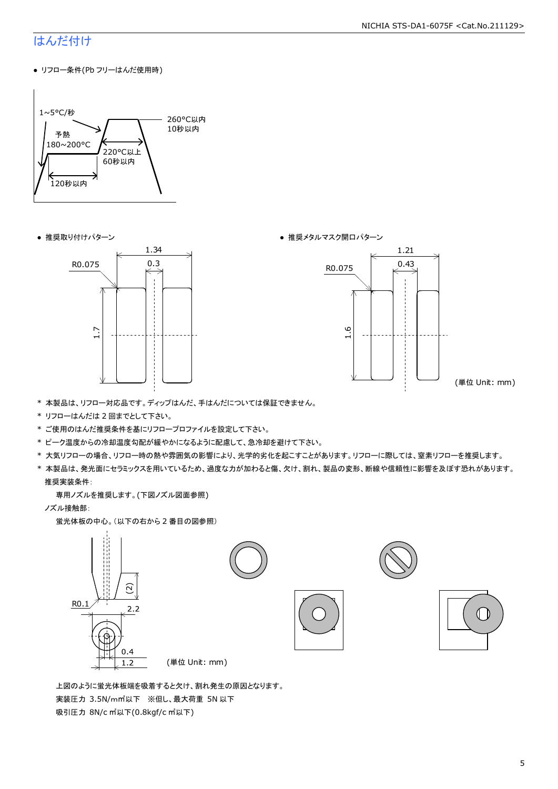#### NICHIA STS-DA1-6075F <Cat.No.211129>

### はんだ付け

● リフロー条件(Pb フリーはんだ使用時)



● 推奨取り付けパターン ろんじょう しょうしゃ ゆうしゃ ウィック かんきょう きゅうしょく 推奨メタルマスク開口パターン





(単位 Unit: mm)

- \* 本製品は、リフロー対応品です。ディップはんだ、手はんだについては保証できません。
- \* リフローはんだは 2 回までとして下さい。
- \* ご使用のはんだ推奨条件を基にリフロープロファイルを設定して下さい。
- \* ピーク温度からの冷却温度勾配が緩やかになるように配慮して、急冷却を避けて下さい。
- \* 大気リフローの場合、リフロー時の熱や雰囲気の影響により、光学的劣化を起こすことがあります。リフローに際しては、窒素リフローを推奨します。
- \* 本製品は、発光面にセラミックスを用いているため、過度な力が加わると傷、欠け、割れ、製品の変形、断線や信頼性に影響を及ぼす恐れがあります。 推奨実装条件:

専用ノズルを推奨します。(下図ノズル図面参照)

ノズル接触部:

蛍光体板の中心。(以下の右から 2 番目の図参照)



 上図のように蛍光体板端を吸着すると欠け、割れ発生の原因となります。 実装圧力 3.5N/m㎡以下 ※但し、最大荷重 5N 以下 吸引圧力 8N/c ㎡以下(0.8kgf/c ㎡以下)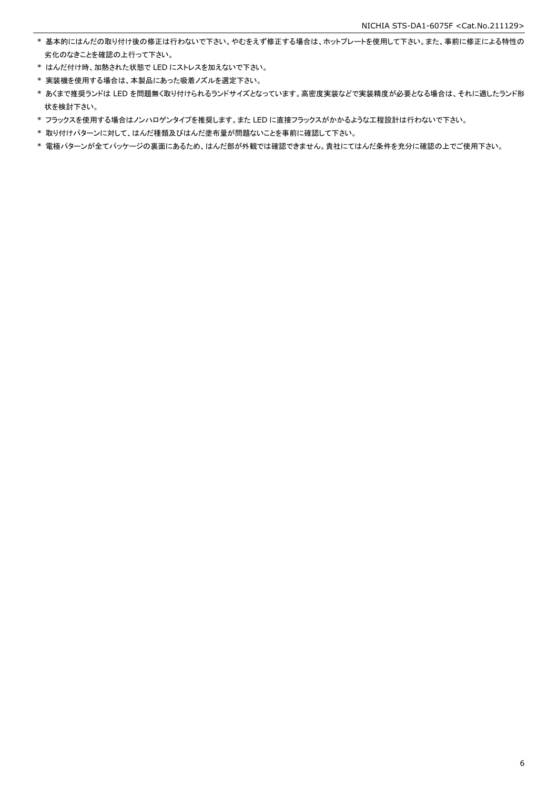- \* 基本的にはんだの取り付け後の修正は行わないで下さい。やむをえず修正する場合は、ホットプレートを使用して下さい。また、事前に修正による特性の 劣化のなきことを確認の上行って下さい。
- \* はんだ付け時、加熱された状態で LED にストレスを加えないで下さい。
- \* 実装機を使用する場合は、本製品にあった吸着ノズルを選定下さい。
- \* あくまで推奨ランドは LED を問題無く取り付けられるランドサイズとなっています。高密度実装などで実装精度が必要となる場合は、それに適したランド形 状を検討下さい。
- \* フラックスを使用する場合はノンハロゲンタイプを推奨します。また LED に直接フラックスがかかるような工程設計は行わないで下さい。
- \* 取り付けパターンに対して、はんだ種類及びはんだ塗布量が問題ないことを事前に確認して下さい。
- \* 電極パターンが全てパッケージの裏面にあるため、はんだ部が外観では確認できません。貴社にてはんだ条件を充分に確認の上でご使用下さい。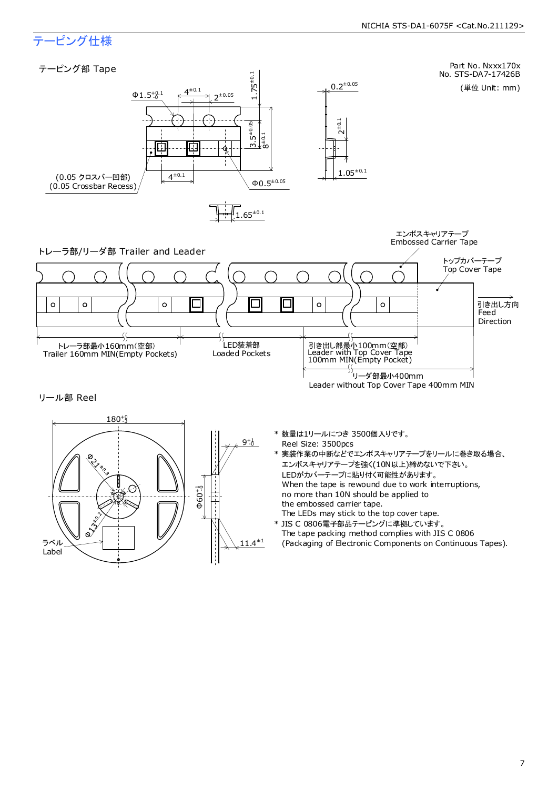### テーピング仕様

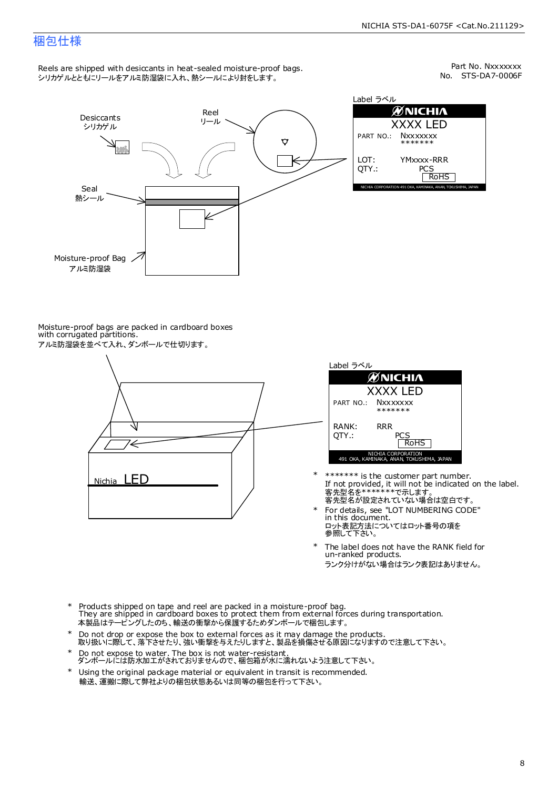### 梱包仕様

Reels are shipped with desiccants in heat-sealed moisture-proof bags. シリカゲルとともにリールをアルミ防湿袋に入れ、熱シールにより封をします。

No. STS-DA7-0006F Part No. Nxxxxxxx



| Label ラベル     |                                                              |  |  |  |  |  |  |
|---------------|--------------------------------------------------------------|--|--|--|--|--|--|
|               | <b>ØNICHIA</b>                                               |  |  |  |  |  |  |
| XXXX LED      |                                                              |  |  |  |  |  |  |
|               | PART NO.: NXXXXXXX<br>*******                                |  |  |  |  |  |  |
| LOT:<br>OTY.: | YMxxxx-RRR<br>PCS<br><b>RoHS</b>                             |  |  |  |  |  |  |
|               | NICHIA CORPORATION 491 OKA, KAMINAKA, ANAN, TOKUSHIMA, JAPAN |  |  |  |  |  |  |

Moisture-proof bags are packed in cardboard boxes with corrugated partitions. アルミ防湿袋を並べて入れ、ダンボールで仕切ります。





- 客先型名を\*\*\*\*\*\*\*\*で示します。<br>客先型名が設定されていない場合は空白です。 If not provided, it will not be indicated on the label. \*\*\*\*\*\*\* is the customer part number.
- For details, see "LOT NUMBERING CODE" in this document. ロット表記方法についてはロット番号の項を<br>参照して下さい。 \*
- The label does not have the RANK field for un-ranked products. ランク分けがない場合はランク表記はありません。 \*
- Products shipped on tape and reel are packed in a moisture-proof bag. They are shipped in cardboard boxes to protect them from external forces during transportation. 本製品はテーピングしたのち、輸送の衝撃から保護するためダンボールで梱包します。 \*
- Do not drop or expose the box to external forces as it may damage the products. 取り扱いに際して、落下させたり、強い衝撃を与えたりしますと、製品を損傷させる原因になりますので注意して下さい。 \*
- Do not expose to water. The box is not water-resistant. ダンボールには防水加工がされておりませんので、梱包箱が水に濡れないよう注意して下さい。 \*
- \* Using the original package material or equivalent in transit is recommended. 輸送、運搬に際して弊社よりの梱包状態あるいは同等の梱包を行って下さい。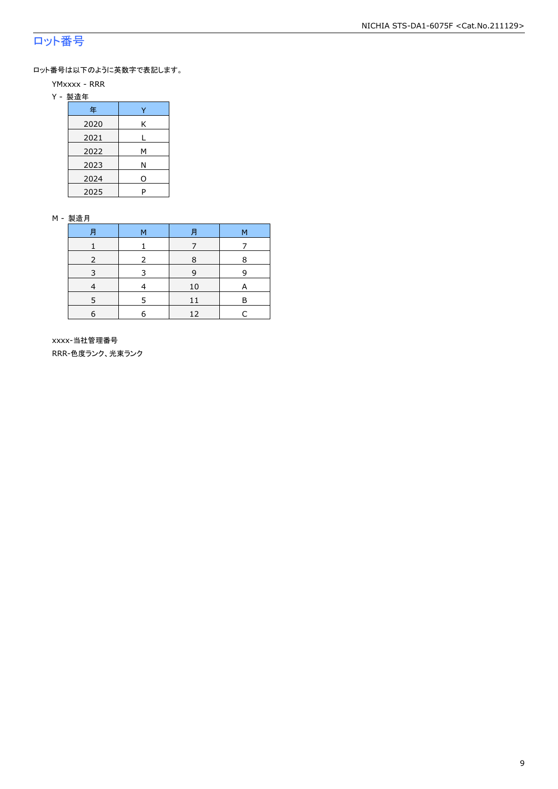### ロット番号

ロット番号は以下のように英数字で表記します。

- YMxxxx RRR
- Y 製造年

| 年    |   |
|------|---|
| 2020 | Κ |
| 2021 |   |
| 2022 | м |
| 2023 | Ν |
| 2024 | ი |
| 2025 | P |

#### M - 製造月

|   | M | F  | М |
|---|---|----|---|
|   |   |    |   |
|   | 2 | 8  | 8 |
|   |   | q  | q |
|   |   | 10 |   |
|   |   |    | в |
| 6 |   | 12 |   |

 xxxx-当社管理番号 RRR-色度ランク、光束ランク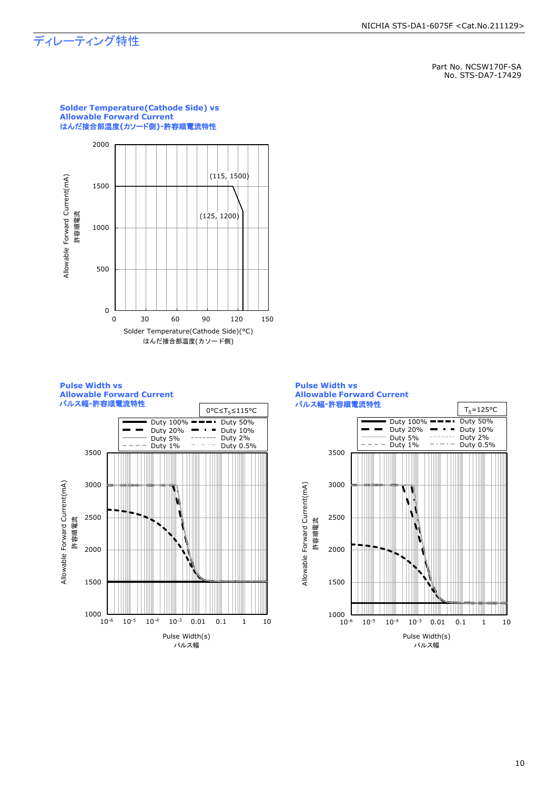### ディレーティング特性

Part No. NCSW170F-SA No. STS-DA7-17429



### **Solder Temperature(Cathode Side) vs Allowable Forward Current**





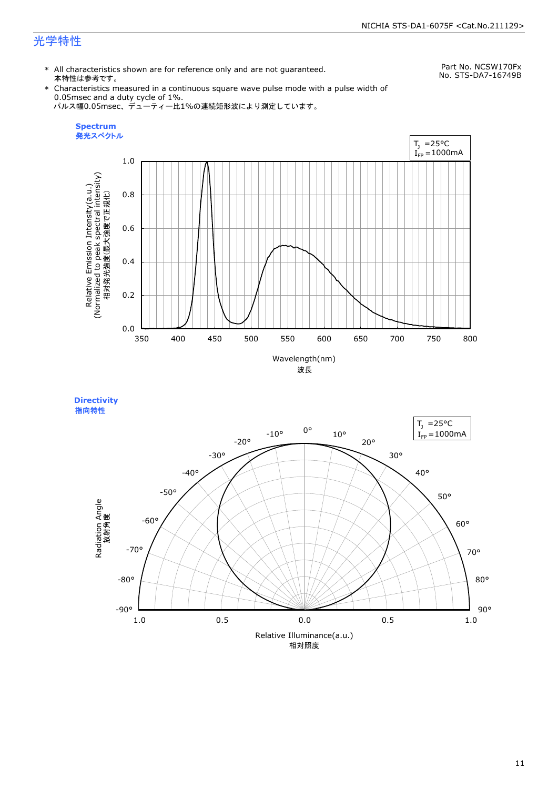### 光学特性

\* All characteristics shown are for reference only and are not guaranteed. 本特性は参考です。

Part No. NCSW170Fx No. STS-DA7-16749B

\* Characteristics measured in a continuous square wave pulse mode with a pulse width of 0.05msec and a duty cycle of 1%. パルス幅0.05msec、デューティー比1%の連続矩形波により測定しています。



**Directivity**  指向特性

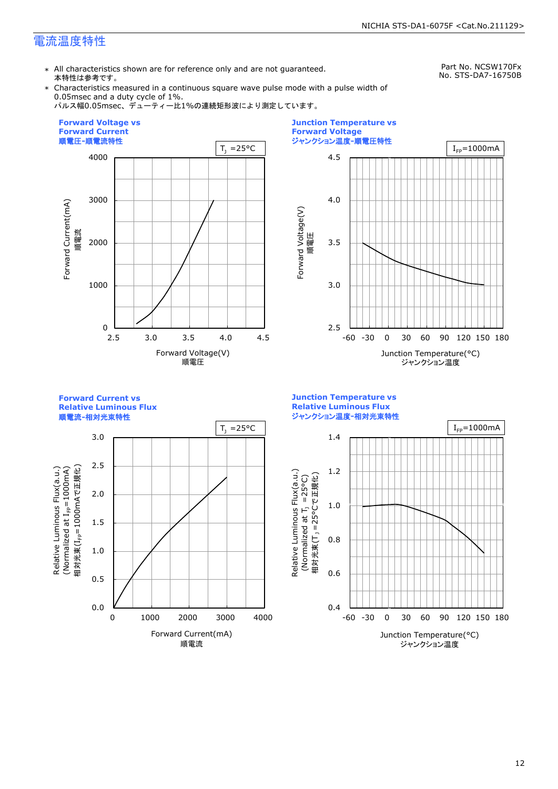### 電流温度特性

\* All characteristics shown are for reference only and are not guaranteed. 本特性は参考です。

Part No. NCSW170Fx No. STS-DA7-16750B

\* Characteristics measured in a continuous square wave pulse mode with a pulse width of 0.05msec and a duty cycle of 1%.

パルス幅0.05msec、デューティー比1%の連続矩形波により測定しています。





**Forward Current vs Relative Luminous Flux**

順電流**-**相対光束特性



**Junction Temperature vs Relative Luminous Flux** ジャンクション温度**-**相対光束特性

Relative Luminous Flux(a.u.)

Relative Luminous Flux(a.u.)

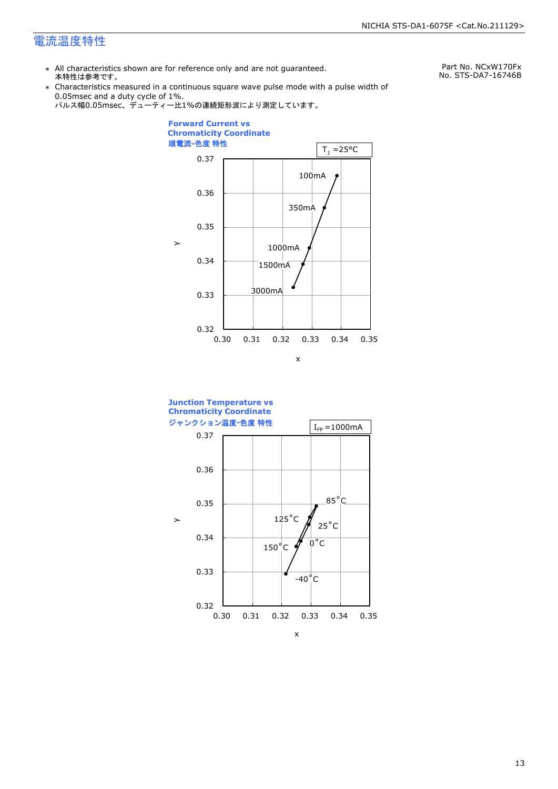### 電流温度特性

\* All characteristics shown are for reference only and are not guaranteed. 本特性は参考です。

Part No. NCxW170Fx No. STS-DA7-16746B

\* Characteristics measured in a continuous square wave pulse mode with a pulse width of 0.05msec and a duty cycle of 1%.





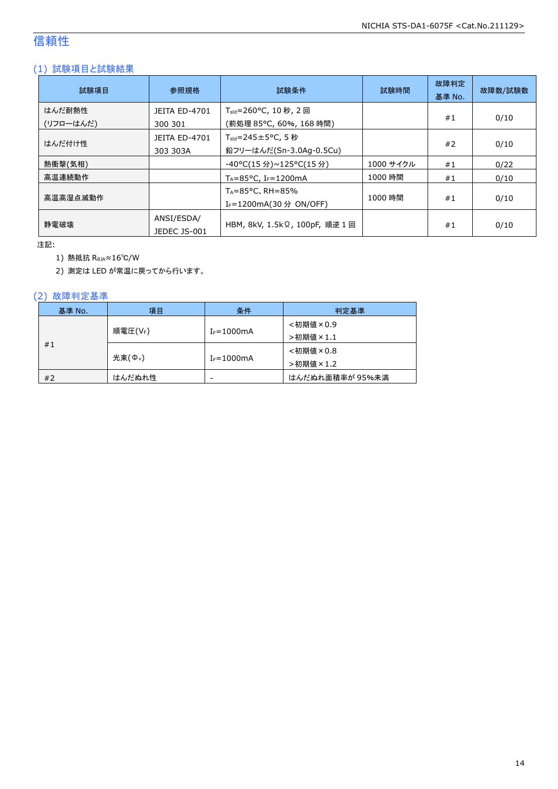### 信頼性

### (1) 試験項目と試験結果

| 試験項目                | 参照規格                            | 試験条件                                                                   | 試験時間      | 故障判定<br>基準 No. | 故障数/試験数 |
|---------------------|---------------------------------|------------------------------------------------------------------------|-----------|----------------|---------|
| はんだ耐熱性<br>(リフローはんだ) | <b>JEITA ED-4701</b><br>300 301 | T <sub>sld</sub> =260°C, 10 秒, 2 回<br>(前処理 85℃, 60%, 168 時間)           |           | #1             | 0/10    |
| はんだ付け性              | JEITA ED-4701<br>303 303A       | $T_{\text{std}} = 245 \pm 5^{\circ}$ C, 5 秒<br>鉛フリーはんだ(Sn-3.0Ag-0.5Cu) |           | #2             | 0/10    |
| 熱衝撃(気相)             |                                 | -40°C(15 分)~125°C(15 分)                                                | 1000 サイクル | #1             | 0/22    |
| 高温連続動作              |                                 | $T_A = 85^{\circ}$ C, I <sub>F</sub> =1200mA                           | 1000 時間   | #1             | 0/10    |
| 高温高湿点滅動作            |                                 | $T_A = 85^{\circ}$ C, RH = 85%<br>I <sub>F</sub> =1200mA(30 分 ON/OFF)  | 1000 時間   | #1             | 0/10    |
| 静雷破壊                | ANSI/ESDA/<br>JEDEC JS-001      | HBM, 8kV, 1.5kΩ, 100pF, 順逆 1 回                                         |           | #1             | 0/10    |

注記:

1) 熱抵抗 RθJA≈16℃/W

2) 測定は LED が常温に戻ってから行います。

### (2) 故障判定基準

| 基準 No. | 項目                 | 条件              | 判定基準            |
|--------|--------------------|-----------------|-----------------|
|        |                    |                 | <初期値×0.9        |
| #1     | 順電圧(VF)            | $I_F = 1000$ mA | >初期値×1.1        |
|        |                    |                 | <初期値×0.8        |
|        | 光束( $\Phi_{\nu}$ ) | $I_F = 1000$ mA | >初期値×1.2        |
| #2     | はんだぬれ性             | -               | はんだぬれ面積率が 95%未満 |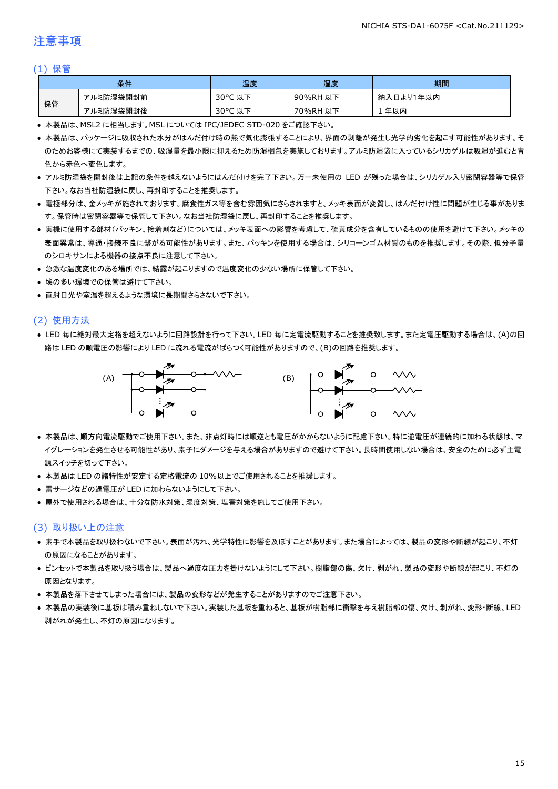### 注意事項

#### (1) 保管

|    | 条件        | 温度                                    | 湿度       | 期間        |
|----|-----------|---------------------------------------|----------|-----------|
|    | アルミ防湿袋開封前 | $30^{\circ}$ C<br><del>ג</del> ו<br>以 | 90%RH 以下 | 納入日より1年以内 |
| 保管 | アルミ防湿袋開封後 | $30^{\circ}$ C<br>以下                  | 70%RH 以下 | 年以内       |

● 本製品は、MSL2 に相当します。MSL については IPC/JEDEC STD-020 をご確認下さい。

- 本製品は、パッケージに吸収された水分がはんだ付け時の熱で気化膨張することにより、界面の剥離が発生し光学的劣化を起こす可能性があります。そ のためお客様にて実装するまでの、吸湿量を最小限に抑えるため防湿梱包を実施しております。アルミ防湿袋に入っているシリカゲルは吸湿が進むと青 色から赤色へ変色します。
- アルミ防湿袋を開封後は上記の条件を越えないようにはんだ付けを完了下さい。万一未使用の LED が残った場合は、シリカゲル入り密閉容器等で保管 下さい。なお当社防湿袋に戻し、再封印することを推奨します。
- 電極部分は、金メッキが施されております。腐食性ガス等を含む雰囲気にさらされますと、メッキ表面が変質し、はんだ付け性に問題が生じる事がありま す。保管時は密閉容器等で保管して下さい。なお当社防湿袋に戻し、再封印することを推奨します。
- 実機に使用する部材(パッキン、接着剤など)については、メッキ表面への影響を考慮して、硫黄成分を含有しているものの使用を避けて下さい。メッキの 表面異常は、導通・接続不良に繋がる可能性があります。また、パッキンを使用する場合は、シリコーンゴム材質のものを推奨します。その際、低分子量 のシロキサンによる機器の接点不良に注意して下さい。
- 急激な温度変化のある場所では、結露が起こりますので温度変化の少ない場所に保管して下さい。
- 埃の多い環境での保管は避けて下さい。
- 直射日光や室温を超えるような環境に長期間さらさないで下さい。

#### (2) 使用方法

● LED 毎に絶対最大定格を超えないように回路設計を行って下さい。LED 毎に定電流駆動することを推奨致します。また定電圧駆動する場合は、(A)の回 路は LED の順電圧の影響により LED に流れる電流がばらつく可能性がありますので、(B)の回路を推奨します。



- 本製品は、順方向電流駆動でご使用下さい。また、非点灯時には順逆とも電圧がかからないように配慮下さい。特に逆電圧が連続的に加わる状態は、マ イグレーションを発生させる可能性があり、素子にダメージを与える場合がありますので避けて下さい。長時間使用しない場合は、安全のために必ず主電 源スイッチを切って下さい。
- 本製品は LED の諸特性が安定する定格電流の 10%以上でご使用されることを推奨します。
- 雷サージなどの過電圧が LED に加わらないようにして下さい。
- 屋外で使用される場合は、十分な防水対策、湿度対策、塩害対策を施してご使用下さい。

#### (3) 取り扱い上の注意

- 素手で本製品を取り扱わないで下さい。表面が汚れ、光学特性に影響を及ぼすことがあります。また場合によっては、製品の変形や断線が起こり、不灯 の原因になることがあります。
- ピンセットで本製品を取り扱う場合は、製品へ過度な圧力を掛けないようにして下さい。樹脂部の傷、欠け、剥がれ、製品の変形や断線が起こり、不灯の 原因となります。
- 本製品を落下させてしまった場合には、製品の変形などが発生することがありますのでご注意下さい。
- 本製品の実装後に基板は積み重ねしないで下さい。実装した基板を重ねると、基板が樹脂部に衝撃を与え樹脂部の傷、欠け、剥がれ、変形・断線、LED 剥がれが発生し、不灯の原因になります。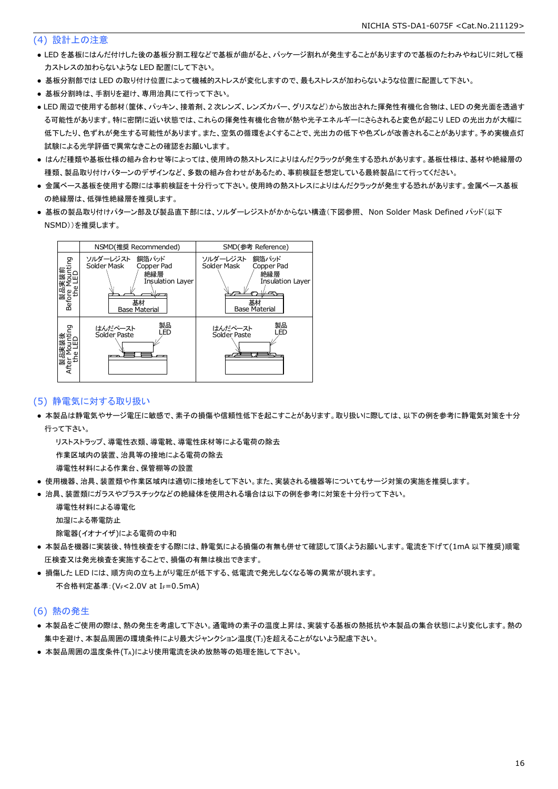#### (4) 設計上の注意

- LED を基板にはんだ付けした後の基板分割工程などで基板が曲がると、パッケージ割れが発生することがありますので基板のたわみやねじりに対して極 力ストレスの加わらないような LED 配置にして下さい。
- 基板分割部では LED の取り付け位置によって機械的ストレスが変化しますので、最もストレスが加わらないような位置に配置して下さい。
- 基板分割時は、手割りを避け、専用治具にて行って下さい。
- LED 周辺で使用する部材(筐体、パッキン、接着剤、2 次レンズ、レンズカバー、グリスなど)から放出された揮発性有機化合物は、LED の発光面を透過す る可能性があります。特に密閉に近い状態では、これらの揮発性有機化合物が熱や光子エネルギーにさらされると変色が起こり LED の光出力が大幅に 低下したり、色ずれが発生する可能性があります。また、空気の循環をよくすることで、光出力の低下や色ズレが改善されることがあります。予め実機点灯 試験による光学評価で異常なきことの確認をお願いします。
- はんだ種類や基板仕様の組み合わせ等によっては、使用時の熱ストレスによりはんだクラックが発生する恐れがあります。基板仕様は、基材や絶縁層の 種類、製品取り付けパターンのデザインなど、多数の組み合わせがあるため、事前検証を想定している最終製品にて行ってください。
- 金属ベース基板を使用する際には事前検証を十分行って下さい。使用時の熱ストレスによりはんだクラックが発生する恐れがあります。金属ベース基板 の絶縁層は、低弾性絶縁層を推奨します。
- 基板の製品取り付けパターン部及び製品直下部には、ソルダーレジストがかからない構造(下図参照、 Non Solder Mask Defined パッド(以下 NSMD))を推奨します。



#### (5) 静電気に対する取り扱い

● 本製品は静電気やサージ電圧に敏感で、素子の損傷や信頼性低下を起こすことがあります。取り扱いに際しては、以下の例を参考に静電気対策を十分 行って下さい。

 リストストラップ、導電性衣類、導電靴、導電性床材等による電荷の除去 作業区域内の装置、治具等の接地による電荷の除去

導電性材料による作業台、保管棚等の設置

- 使用機器、治具、装置類や作業区域内は適切に接地をして下さい。また、実装される機器等についてもサージ対策の実施を推奨します。
- 治具、装置類にガラスやプラスチックなどの絶縁体を使用される場合は以下の例を参考に対策を十分行って下さい。

 導電性材料による導電化 加湿による帯電防止

除電器(イオナイザ)による電荷の中和

- 本製品を機器に実装後、特性検査をする際には、静電気による損傷の有無も併せて確認して頂くようお願いします。電流を下げて(1mA 以下推奨)順電 圧検査又は発光検査を実施することで、損傷の有無は検出できます。
- 損傷した LED には、順方向の立ち上がり電圧が低下する、低電流で発光しなくなる等の異常が現れます。 不合格判定基準: (VF<2.0V at IF=0.5mA)

#### (6) 熱の発生

- 本製品をご使用の際は、熱の発生を考慮して下さい。通電時の素子の温度上昇は、実装する基板の熱抵抗や本製品の集合状態により変化します。熱の 集中を避け、本製品周囲の環境条件により最大ジャンクション温度(TJ)を超えることがないよう配慮下さい。
- 本製品周囲の温度条件(TA)により使用電流を決め放熱等の処理を施して下さい。